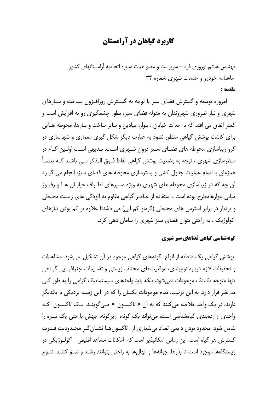# **کاربرد گیاهان در آرامستان**

مهندس هاشم نوروزی فرد – سرپرست و عضو هیات مدیره اتحادیه آرامستانهای کشور ماهنامه خودرو و خدمات شهری شماره ۳۴

#### مقدمه :

امروزه توسعه و گسترش فضای سبز با توجه به گسترش روزافـزون سـاخت و سـازهای شهری و نیاز ضروری شهروندان به مقوله فضای سبز، بطور چشمگیری رو به افزایش است و كمتر اتفاق مي افتد كه با احداث خيابان ، بلوار، ميادين و ساير ساخت و سازها، محوطه هــايي برای کاشت پوشش گیاهی منظور نشود به عبارت دیگر شکل گیری معماری و شهرسازی در گرو زیباسازی محوطه های فضـای سـبز درون شـهری اسـت. بـدیهی اسـت اولـین گـام در منظرسازی شهری ، توجه به وضعیت پوشش گیاهی نقاط فـوق الـذکر مـی باشـد کـه بعضـاً همزمان با اتمام عملیات جدول کشی و بسترسازی محوطه های فضای سبز، انجام می گیـرد آن چه که در زیباسازی محوطه های شهری به ویژه مسیرهای اطـراف خیابـان هـا و رفیـوژ میانی بلوارهامطرح بوده است ، استفاده از عناصر گیاهی مقاوم به آلودگی های زیست محیطی و بردبار در برابر استرس های محیطی (گرماو کم آبی) می باشدتا علاوه بر کم بودن نیازهای اکولوژیک ، به راحتی بتوان فضای سبز شهری را سامان دهی کرد.

#### گونهشناسی گیاهی فضاهای سیز شهری

پوشش گیاهی یک منطقه از انواع گونههای گیاهی موجود در آن تشکیل می شود. مشاهدات و تحقیقات لازم درباره نوع بندی، موقعیتهای مختلف زیستی و تقسیمات جغرافیـایی گیـاهی تنها متوجه تک تک موجودات نمی شود، بلکه باید واحدهای سیستماتیک گیاهی را به طور کلی مد نظر قرار دارد. به این ترتیب، تمام موجودات یکسان را که در این زمینه نزدیکی با یکدیگر دارند، در یک واحد خلاصه می *ک*نند که به آن « تاکسـون » مـی گوینـد. یـک تاکسـون کـه واحدی از ردهبندی گیاهشناسی است، می تواند یک گونه، زیرگونه، جهش یا حتی یک تیـره را شامل شود. محدود بودن دایمی تعداد بیشماری از تاکسونهـا نشـان گـر محـدودیت قـدرت گسترش هر گیاه است. این زمانی امکانیذیر است که امکانات مساعد اقلیمی\_ اکولـوژیکی در زیستگاهها موجود است تا بذرها، جوانهها و نهالها به راحتی بتوانند رشـد و نمـو کننـد. تنـوع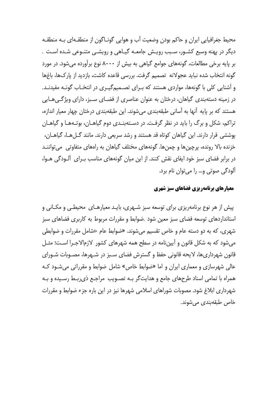محیط جغرافیایی ایران و حاکم بودن وضعیت آب و هوایی گونـاگون از منطقـهای بـه منطقـه دیگر در پهنه وسیع کشـور، سـبب رویـش جامعـه گیـاهی و رویشـی متنـوعی شـده اسـت . بر پایه برخی مطالعات، گونههای جوامع گیاهی به بیش از ۸۰۰۰ نوع برآورده می شود. در مورد گونه انتخاب شده نباید عجولانه تصمیم گرفت. بررسی قاعده کاشت، بازدید از پارکها، باغها و آشنایی کلی با گونهها، مواردی هستند که بـرای تصـمیمگیـری در انتخـاب گونـه مفیدنـد. در زمینه دستهبندی گیاهان، درختان به عنوان عناصری از فضـای سـبز، دارای ویژگـی هـایی هستند که بر پایه آنها به آسانی طبقهبندی می شوند. این طبقهبندی درختان چهار معیار اندازه، تراکم، شکل و برگ را باید در نظر گرفت. در دستهبنـدی دوم گیاهـان، بوتـههـا و گیاهـان پوششی قرار دارند. این گیاهان کوتاه قد هستند و رشد سریعی دارند. مانند گـل هـا، گیاهـان، خزنده بالا رونده، پرچینها و چمنها. گونههای مختلف گیاهان به راههای متفاوتی میتواننـد در برابر فضای سبز خود ایفای نقش کنند. از این میان گونههای مناسب بـرای آلـودگی هـوا، آلودگی صوتی و… را می توان نام برد.

#### معیارهای برنامهریزی فضاهای سبز شهری

پیش از هر نوع برنامهریزی برای توسعه سبز شـهری، بایـد معیارهـای محیطـی و مکـانی و استانداردهای توسعه فضای سبز معین شود .ضوابط و مقررات مربوط به کاربری فضاهای سبز شهري، كه به دو دسته عام و خاص تقسيم مي شوند. «ضوابط عام «شامل مقررات و ضوابطي می شود که به شکل قانون و آیین نامه در سطح همه شهرهای کشور لازمالاجـرا اسـت؛ مثـل قانون شهرداریِها، لایحه قانونی حفظ و گسترش فضای سـبز در شـهرِها، مصـوبات شـورای عالي شهرسازي و معماري ايران و اما «ضوابط خاص» شامل ضوابط و مقرراتي مي شـود كـه همراه با تمامی اسناد طرحهای جامع و هدایتگر بـه تصـویب مراجـع ذی٫ربـط رسـیده و بـه شهرداری ابلاغ شود. مصوبات شوراهای اسلامی شهرها نیز در این باره جزء ضوابط و مقررات خاص طبقەبندى مى شوند.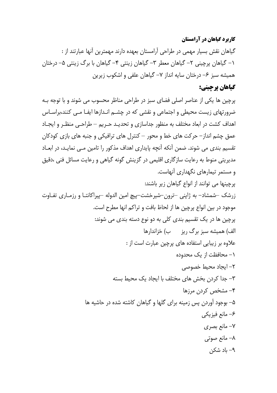#### **کاربرد گیاهان در آرامستان**

گیاهان نقش بسیار مهمی در طراحی آرامستان بعهده دارند مهمترین آنها عبارتند از : ۱– گیاهان پرچینی ۲– گیاهان معطر ۳– گیاهان زینتی ۴– گیاهان با برگ زینتی ۵– درختان همیشه سبز ۶– درختان سایه انداز ۷– گیاهان علفی و اشکوب زیرین

## گیاهان پرچینی:

پرچین ها یکی از عناصر اصلی فضای سبز در طراحی مناظر محسوب می شوند و با توجه بـه ضرورتهای زیست محیطی و اجتماعی و نقشی که در چشـم انـدازها ایفـا مـی کنند،براسـاس اهداف کشت در ابعاد مختلف به منظور جداسازی و تحدیـد حـریم – طراحـی منظـر و ایجـاد عمق چشم انداز – حرکت های خط و محور – کنترل های ترافیکی و جنبه های بازی کودکان تقسیم بندی می شوند. ضمن آنکه آنچه پایداری اهداف مذکور را تامین مـی نمایـد، در ابعـاد مدیریتی منوط به رعایت سازگاری اقلیمی در گزینش گونه گیاهی و رعایت مسائل فنی ،دقیق و مستمر تیمارهای نگهداری آنهاست. پرچینها می توانند از انواع گیاهان زیر باشند: زرشک –شمشاد– به ژاپنی –ترون–شیرخشت–پیچ امین الدوله –پیراکانتـا و رزمـاری تفـاوت موجود در بین انواع پرچین ها از لحاظ بافت و تراکم انها مطرح است. پرچین ها در یک تقسیم بندی کلی به دو نوع دسته بندی می شوند: الف) همیشه سبز برگ ریز مب) خزاندارها علاوه بر زیبایی استفاده های پرچین عبارت است از : ١- محافظت از یک محدوده ٢– ايجاد محيط خصوصى ٣- جدا كردن بخش هاى مختلف با ايجاد يک محيط بسته ۴– مشخص کردن مرزها ۵– بوجود آوردن پس زمینه برای گلها و گیاهان کاشته شده در حاشیه ها ۶– مانع فيزيكي ۷- مانع بصری ۸– مانع صوت*ی* ۹– باد شکن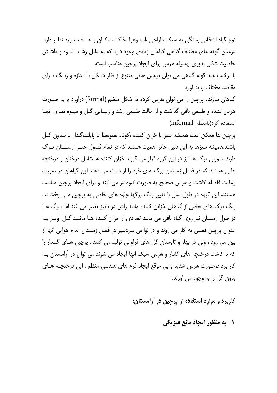نوع گياه انتخابي بستگي به سبک طراحي ،آب وهوا ،خاک ، مکـان و هـدف مـورد نظـر دارد. درمیان گونه های مختلف گیاهی گیاهان زیادی وجود دارد که به دلیل رشد انبوه و داشتن خاصیت شکل پذیری بوسیله هرس برای ایجاد پرچین مناسب است.

با ترکیب چند گونه گیاهی می توان پرچین هایی متنوع از نظر شـکل ، انـدازه و رنـگ بـرای مقاصد مختلف بدبد آورد

گیاهان سازنده پرچین را می توان هرس کرده به شکل منظم (formal) دراورد یا به صـورت هرس نشده و طبیعی باقی گذاشت و از حالت طبیعی رشد و زیبـایی گـل و میـوه هـای آنهـا (informal مرد (نامنظم)

پرچين ها ممكن است هميشه سبز يا خزان كننده ،كوتاه ،متوسط يا پابلند،گلدار يا بـدون گـل باشند.همیشه سبزها به این دلیل حائز اهمیت هستند که در تمام فصول حتبی زمسـتان بـرگ دارند. سوزنی برگ ها نیز در این گروه قرار می گیرند خزان کننده ها شامل درختان و درختچه هایی هستند که در فصل زمستان برگ های خود را از دست می دهند این گیاهان در صورت رعایت فاصله کاشت و هرس صحیح یه صورت انبوه در می آیند و برای ایجاد پرچین مناسب هستند. این گروه در طول سال با تغییر رنگ برگها جلوه های خاصی به پرچین مـی بخشـند. رنگ برگ های بعضی از گیاهان خزانن کننده مانند راش در پاییز تغییر می کند اما بـرگ هـا در طول زمستان نیز روی گیاه باقی می مانند تعدادی از خزان کننده هــا ماننــد گــل آویـز بــه عنوان پرچین فصلی به کار می روند و در نواحی سردسیر در فصل زمستان اندام هوایی آنها از بين مي رود ، ولي در بهار و تابستان گل هاي فراواني توليد مي كنند . پرچين هـاي گلــدار را که با کاشت درختچه های گلدار و هرس سبک انها ایجاد می شوند می توان در آرامستان بـه کار برد درصورت هرس شدید و پی موقع ایجاد فرم های هندسی منظم ، این درختچـه هـای بدون گل را به وجود می اورند.

کاربرد و موارد استفاده از پرچین در آرامستان:

١- به منظور ايحاد مانع فيزيكي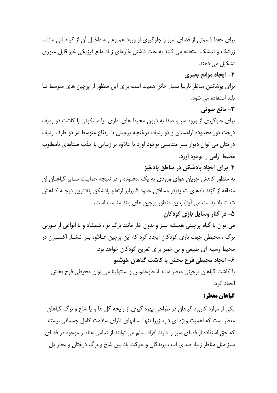برای حفظ قسمتی از فضای سبز و جلوگیری از ورود عمـوم بـه داخـل آن از گیاهـانی ماننـد زرشک و تمشک استفاده می کنند به علت داشتن خارهای زیاد مانع فیزیکی غیر قابل عبوری تشکیل می دهند.

## ۲- ایجاد موانع بصری

برای یوشاندن مناظر نازیبا بسیار حائز اهمیت است برای این منظور از پرچین های متوسط تـا بلند استفاده می شود.

**٣- مانع صوتي** 

برای جلوگیری از ورود سر و صدا به درون محیط های اداری یا مسکونی با کاشت دو ردیف درخت دور محدوده آرامستان و ذو رديف درختچه پرچينې با ارتفاع متوسط در دو طرف رديف درختان می توان دیوار سبز متناسبی بوجود آورد تا علاوه بر زیبایی با جذب صداهای نامطلوب محيط آرامي را بوجود آورد.

۴-برای ایجاد بادشکن در مناطق بادخیز

به منظور کاهش جریان هوای ورودی به یک محدوده و در نتیجه حمایت سـایر گیاهـان ان منطقه از گزند بادهای شدید(در مسافتی حدود ۵ برابر ارتفاع بادشکن بالاترین درجـه کـاهش شدت باد بدست می آید) بدین منظور پرچین های بلند مناسب است.

### ۵- در کنار وسایل بازی کودکان

می توان با گیاه پرچینی همیشه سبز و بدون خار مانند برگ نو ، شمشاد و یا انواعی از سوزنی برگ ، محیطی جهت بازی کودکان ایجاد کرد که این پرچین عــلاوه بـر انتشــار اکســیژن در محیط وسیله ای طبیعی و بی خطر برای تفریح کودکان خواهد بود. ۶- ایجاد محیطی فرح بخش با کاشت گیاهان خوشبو با كاشت گياهان پرچيني معطر مانند اسطوخدوس و سنتولينا مي توان محيطي فرح بخش ایجاد کرد.

### گياهان معطر:

یکی از موارد کاربرد گیاهان در طراحی بهره گیری از رایحه گل ها و یا شاخ و برگ گیاهان معطر است که اهمیت ویژه ای دارد زیرا تنها انسانهای دارای سلامت کامل جسمانی نیستند كه حق استفاده از فضاى سبز را دارند افراد سالم مى توانند از تمامى عناصر موجود در فضاى سبز مثل مناظر زیبا، صدای اب ، پرندگان و حرکت باد بین شاخ و برگ درختان و عطر دل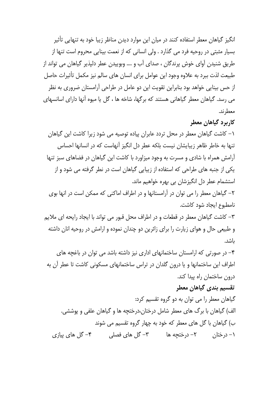انگیز گیاهان معطر استفاده کنند در میان این موارد دیدن مناظر زیبا خود به تنهایی تأثیر بسیار مثبتی در روحیه فرد می گذارد . ولی انسانی که از نعمت بینایی محروم است تنها از طریق شنیدن آوای خوش پرندگان ، صدای آب و …. وبوییدن عطر دلیذیر گیاهان می تواند از طبیعت لذت ببرد به علاوه وجود این عوامل برای انسان های سالم نیز مکمل تأثیرات حاصل از حس بینایی خواهد بود بنابراین تقویت این دو عامل در طراحی آرامستان ضروری به نظر می رسد. گیاهان معطر گیاهانی هستند که برگها، شاخه ها ، گل یا میوه آنها دارای اسانسهای معطرند.

کاربرد گیاهان معطر

١– كاشت گياهان معطر در محل تردد عابران پياده توصيه مي شود زيرا كاشت اين گياهان تنها به خاطر ظاهر زیبایشان نیست بلکه عطر دل انگیز آنهاست که در انسانها احساس آرامش همراه با شادی و مسرت به وجود میزاورد با کاشت این گیاهان در فضاهای سبز تنها یکی از جنبه های طراحی که استفاده از زیبایی گیاهان است در نطر گرفته می شود و از استشمام عطر دل انگیزشان بی بهره خواهیم ماند.

۲– گیاهان معطر را می توان در آرامستانها و در اطراف اماکنی که ممکن است در انها بوی نامطبوع ابحاد شود كاشت.

٣- كاشت گياهان معطر در قطعات و در اطراف محل قبور مي تواند با ايجاد رايحه اي ملايم و طبیعی حال و هوای زیارت را برای زائرین دو چندان نموده و ارامش در روحیه انان داشته ىاشد.

۴– در صورتی که ارامستان ساختمانهای اداری نیز داشته باشد می توان در باغچه های اطراف این ساختمانها و یا درون گلدان در تراس ساختمانهای مسکونی کاشت تا عطر آن به درون ساختمان راه پیدا کند.

### تقسیم بندی گیاهان معطر

گیاهان معطر را می توان به دو گروه تقسیم کرد: الف) گیاهان با برگ های معطر شامل درختان،درختچه ها و گیاهان علفی و پوششی. ب) گیاهان با گل های معطر که خود به چهار گروه تقسیم می شوند